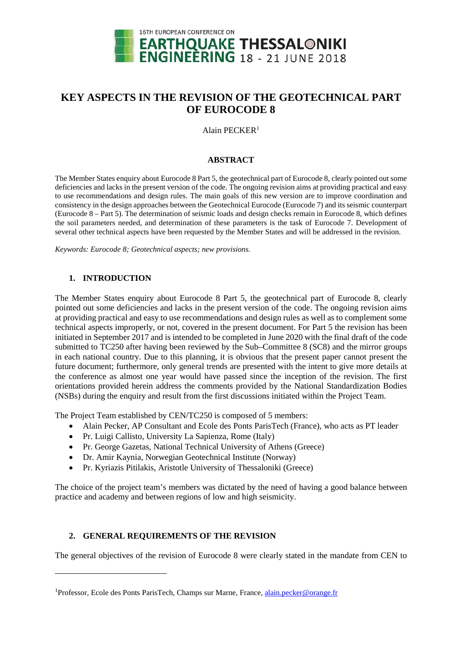

# **KEY ASPECTS IN THE REVISION OF THE GEOTECHNICAL PART OF EUROCODE 8**

#### Alain PECKER<sup>[1](#page-2-0)</sup>

#### **ABSTRACT**

The Member States enquiry about Eurocode 8 Part 5, the geotechnical part of Eurocode 8, clearly pointed out some deficiencies and lacks in the present version of the code. The ongoing revision aims at providing practical and easy to use recommendations and design rules. The main goals of this new version are to improve coordination and consistency in the design approaches between the Geotechnical Eurocode (Eurocode 7) and its seismic counterpart (Eurocode 8 – Part 5). The determination of seismic loads and design checks remain in Eurocode 8, which defines the soil parameters needed, and determination of these parameters is the task of Eurocode 7. Development of several other technical aspects have been requested by the Member States and will be addressed in the revision.

*Keywords: Eurocode 8; Geotechnical aspects; new provisions.*

### **1. INTRODUCTION**

<u>.</u>

The Member States enquiry about Eurocode 8 Part 5, the geotechnical part of Eurocode 8, clearly pointed out some deficiencies and lacks in the present version of the code. The ongoing revision aims at providing practical and easy to use recommendations and design rules as well as to complement some technical aspects improperly, or not, covered in the present document. For Part 5 the revision has been initiated in September 2017 and is intended to be completed in June 2020 with the final draft of the code submitted to TC250 after having been reviewed by the Sub–Committee 8 (SC8) and the mirror groups in each national country. Due to this planning, it is obvious that the present paper cannot present the future document; furthermore, only general trends are presented with the intent to give more details at the conference as almost one year would have passed since the inception of the revision. The first orientations provided herein address the comments provided by the National Standardization Bodies (NSBs) during the enquiry and result from the first discussions initiated within the Project Team.

The Project Team established by CEN/TC250 is composed of 5 members:

- Alain Pecker, AP Consultant and Ecole des Ponts ParisTech (France), who acts as PT leader
- Pr. Luigi Callisto, University La Sapienza, Rome (Italy)
- Pr. George Gazetas, National Technical University of Athens (Greece)
- Dr. Amir Kaynia, Norwegian Geotechnical Institute (Norway)
- Pr. Kyriazis Pitilakis, Aristotle University of Thessaloniki (Greece)

The choice of the project team's members was dictated by the need of having a good balance between practice and academy and between regions of low and high seismicity.

### **2. GENERAL REQUIREMENTS OF THE REVISION**

The general objectives of the revision of Eurocode 8 were clearly stated in the mandate from CEN to

<sup>&</sup>lt;sup>1</sup>Professor, Ecole des Ponts ParisTech, Champs sur Marne, France, *alain.pecker@orange.fr*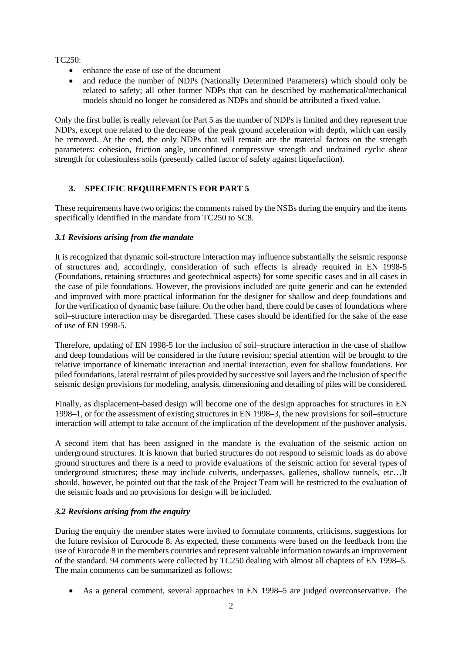TC250:

- enhance the ease of use of the document
- and reduce the number of NDPs (Nationally Determined Parameters) which should only be related to safety; all other former NDPs that can be described by mathematical/mechanical models should no longer be considered as NDPs and should be attributed a fixed value.

Only the first bullet is really relevant for Part 5 as the number of NDPs is limited and they represent true NDPs, except one related to the decrease of the peak ground acceleration with depth, which can easily be removed. At the end, the only NDPs that will remain are the material factors on the strength parameters: cohesion, friction angle, unconfined compressive strength and undrained cyclic shear strength for cohesionless soils (presently called factor of safety against liquefaction).

## **3. SPECIFIC REQUIREMENTS FOR PART 5**

These requirements have two origins: the comments raised by the NSBs during the enquiry and the items specifically identified in the mandate from TC250 to SC8.

### *3.1 Revisions arising from the mandate*

It is recognized that dynamic soil-structure interaction may influence substantially the seismic response of structures and, accordingly, consideration of such effects is already required in EN 1998-5 (Foundations, retaining structures and geotechnical aspects) for some specific cases and in all cases in the case of pile foundations. However, the provisions included are quite generic and can be extended and improved with more practical information for the designer for shallow and deep foundations and for the verification of dynamic base failure. On the other hand, there could be cases of foundations where soil–structure interaction may be disregarded. These cases should be identified for the sake of the ease of use of EN 1998-5.

Therefore, updating of EN 1998-5 for the inclusion of soil–structure interaction in the case of shallow and deep foundations will be considered in the future revision; special attention will be brought to the relative importance of kinematic interaction and inertial interaction, even for shallow foundations. For piled foundations, lateral restraint of piles provided by successive soil layers and the inclusion of specific seismic design provisions for modeling, analysis, dimensioning and detailing of piles will be considered.

Finally, as displacement–based design will become one of the design approaches for structures in EN 1998–1, or for the assessment of existing structures in EN 1998–3, the new provisions for soil–structure interaction will attempt to take account of the implication of the development of the pushover analysis.

A second item that has been assigned in the mandate is the evaluation of the seismic action on underground structures. It is known that buried structures do not respond to seismic loads as do above ground structures and there is a need to provide evaluations of the seismic action for several types of underground structures; these may include culverts, underpasses, galleries, shallow tunnels, etc…It should, however, be pointed out that the task of the Project Team will be restricted to the evaluation of the seismic loads and no provisions for design will be included.

## *3.2 Revisions arising from the enquiry*

During the enquiry the member states were invited to formulate comments, criticisms, suggestions for the future revision of Eurocode 8. As expected, these comments were based on the feedback from the use of Eurocode 8 in the members countries and represent valuable information towards an improvement of the standard. 94 comments were collected by TC250 dealing with almost all chapters of EN 1998–5. The main comments can be summarized as follows:

• As a general comment, several approaches in EN 1998–5 are judged overconservative. The